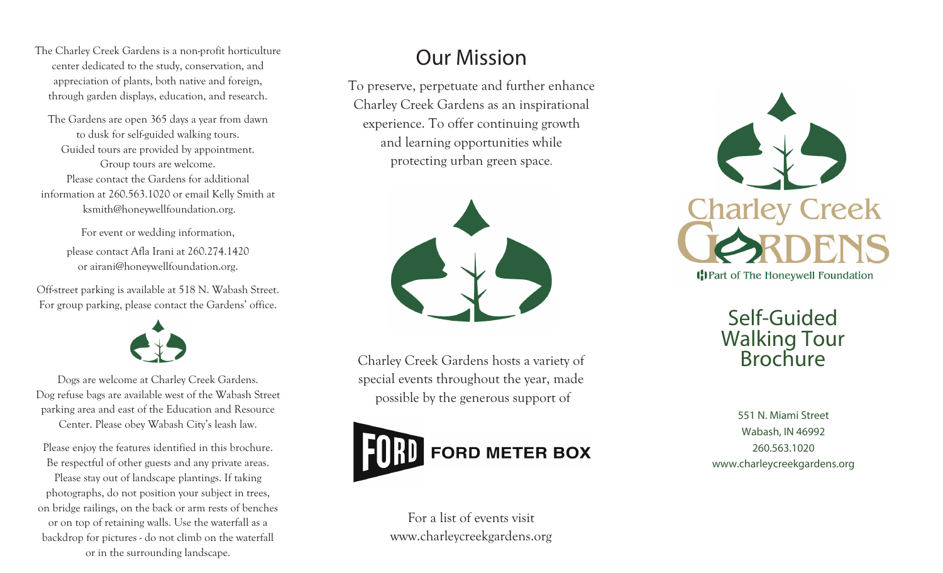The Charley Creek Gardens is a non-profit horticulture center dedicated to the study, conservation, and appreciation of plants, both native and foreign, through garden displays, education, and research.

The Gardens are open 365 days a year from dawn to dusk for self-guided walking tours. Guided tours are provided by appointment. Group tours are welcome. Please contact the Gardens for additional information at 260.563.1020 or email Kelly Smith at ksmith@honeywellfoundation.org.

> For event or wedding information, please contact Afla Irani at 260.274.1420 or airani@honeywellfoundation.org.

Off-street parking is available at 518 N. Wabash Street. For group parking, please contact the Gardens' office.



Dogs are welcome at Charley Creek Gardens. Dog refuse bags are available west of the Wabash Street parking area and east of the Education and Resource Center. Please obey Wabash City's leash law.

Please enjoy the features identified in this brochure. Be respectful of other guests and any private areas. Please stay out of landscape plantings. If taking photographs, do not position your subject in trees, on bridge railings, on the back or arm rests of benches or on top of retaining walls. Use the waterfall as a backdrop for pictures - do not climb on the waterfall or in the surrounding landscape.

# Our Mission

To preserve, perpetuate and further enhance Charley Creek Gardens as an inspirational experience. To offer continuing growth and learning opportunities while protecting urban green space .



Charley Creek Gardens hosts a variety of special events throughout the year, made possible by the generous support of



For a list of events visit www.charleycreekgardens.org



## Self-Guided Walking Tour **Brochure**

551 N. Miami Street Wabash, IN 46992 260.563.1020 www.charleycreekgardens.org